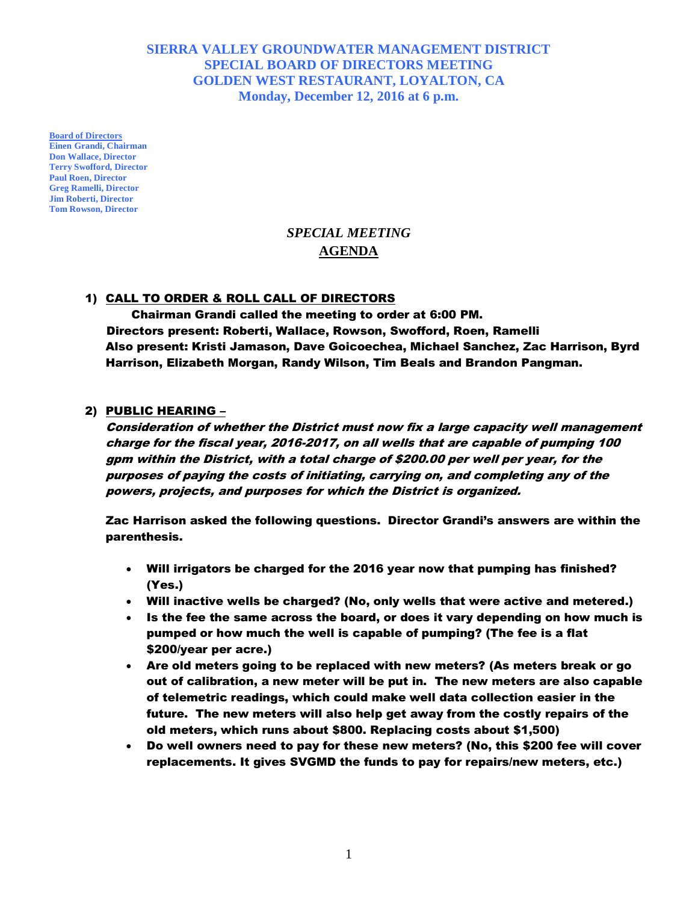# **SIERRA VALLEY GROUNDWATER MANAGEMENT DISTRICT SPECIAL BOARD OF DIRECTORS MEETING GOLDEN WEST RESTAURANT, LOYALTON, CA Monday, December 12, 2016 at 6 p.m.**

**Board of Directors Einen Grandi, Chairman Don Wallace, Director Terry Swofford, Director Paul Roen, Director Greg Ramelli, Director Jim Roberti, Director Tom Rowson, Director**

# *SPECIAL MEETING* **AGENDA**

## 1) CALL TO ORDER & ROLL CALL OF DIRECTORS

Chairman Grandi called the meeting to order at 6:00 PM. Directors present: Roberti, Wallace, Rowson, Swofford, Roen, Ramelli Also present: Kristi Jamason, Dave Goicoechea, Michael Sanchez, Zac Harrison, Byrd Harrison, Elizabeth Morgan, Randy Wilson, Tim Beals and Brandon Pangman.

#### 2) PUBLIC HEARING –

Consideration of whether the District must now fix a large capacity well management charge for the fiscal year, 2016-2017, on all wells that are capable of pumping 100 gpm within the District, with a total charge of \$200.00 per well per year, for the purposes of paying the costs of initiating, carrying on, and completing any of the powers, projects, and purposes for which the District is organized.

Zac Harrison asked the following questions. Director Grandi's answers are within the parenthesis.

- Will irrigators be charged for the 2016 year now that pumping has finished? (Yes.)
- Will inactive wells be charged? (No, only wells that were active and metered.)
- Is the fee the same across the board, or does it vary depending on how much is pumped or how much the well is capable of pumping? (The fee is a flat \$200/year per acre.)
- Are old meters going to be replaced with new meters? (As meters break or go out of calibration, a new meter will be put in. The new meters are also capable of telemetric readings, which could make well data collection easier in the future. The new meters will also help get away from the costly repairs of the old meters, which runs about \$800. Replacing costs about \$1,500)
- Do well owners need to pay for these new meters? (No, this \$200 fee will cover replacements. It gives SVGMD the funds to pay for repairs/new meters, etc.)